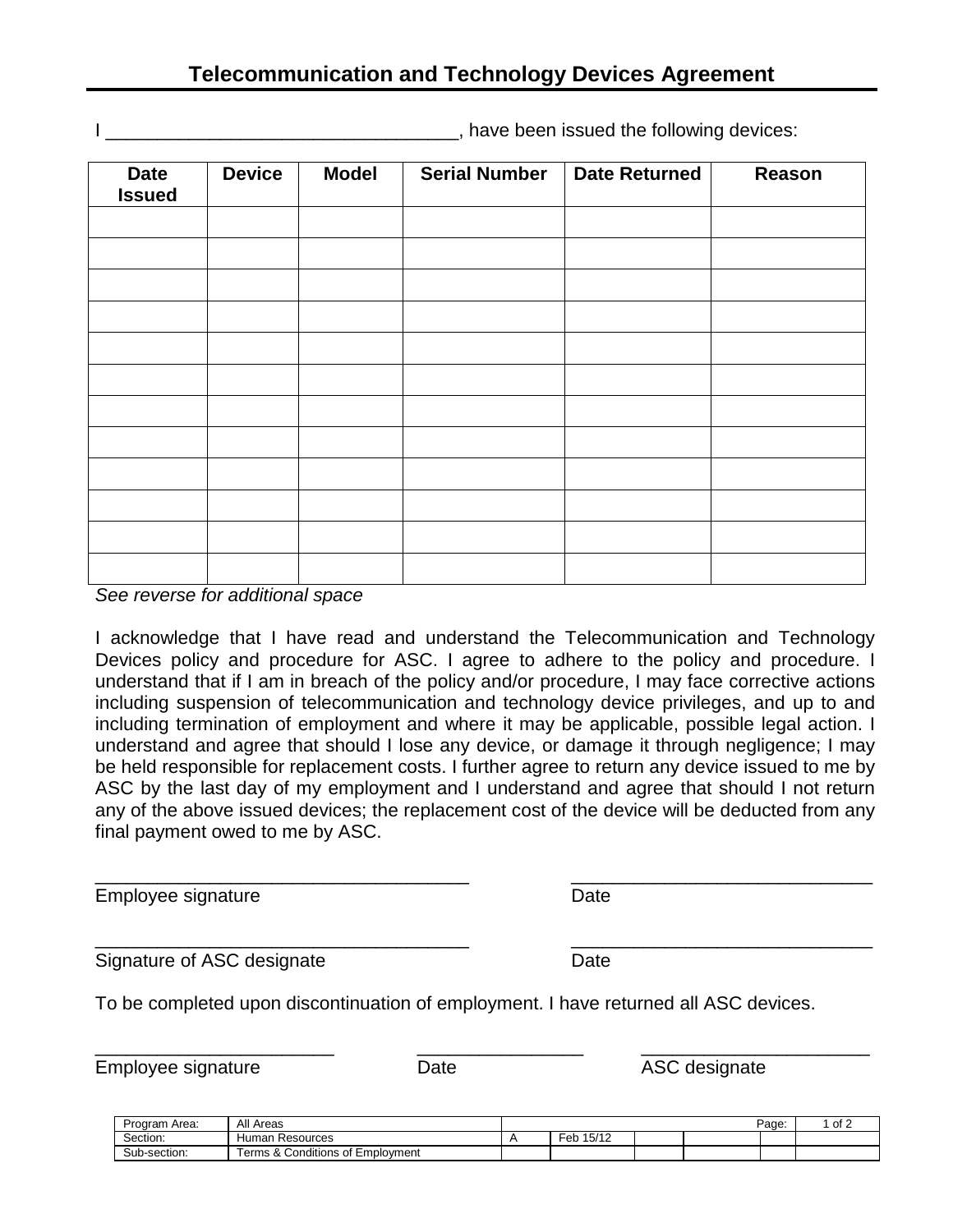| <b>Device</b><br><b>Date</b><br><b>Issued</b> |  | <b>Model</b> | <b>Serial Number</b> | <b>Date Returned</b> | Reason |  |  |  |
|-----------------------------------------------|--|--------------|----------------------|----------------------|--------|--|--|--|
|                                               |  |              |                      |                      |        |  |  |  |
|                                               |  |              |                      |                      |        |  |  |  |
|                                               |  |              |                      |                      |        |  |  |  |
|                                               |  |              |                      |                      |        |  |  |  |
|                                               |  |              |                      |                      |        |  |  |  |
|                                               |  |              |                      |                      |        |  |  |  |
|                                               |  |              |                      |                      |        |  |  |  |
|                                               |  |              |                      |                      |        |  |  |  |
|                                               |  |              |                      |                      |        |  |  |  |
|                                               |  |              |                      |                      |        |  |  |  |

I consider the intervals of the second term is the following devices:

*See reverse for additional space*

I acknowledge that I have read and understand the Telecommunication and Technology Devices policy and procedure for ASC. I agree to adhere to the policy and procedure. I understand that if I am in breach of the policy and/or procedure, I may face corrective actions including suspension of telecommunication and technology device privileges, and up to and including termination of employment and where it may be applicable, possible legal action. I understand and agree that should I lose any device, or damage it through negligence; I may be held responsible for replacement costs. I further agree to return any device issued to me by ASC by the last day of my employment and I understand and agree that should I not return any of the above issued devices; the replacement cost of the device will be deducted from any final payment owed to me by ASC.

\_\_\_\_\_\_\_\_\_\_\_\_\_\_\_\_\_\_\_\_\_\_\_\_\_\_\_\_\_\_\_\_\_\_\_\_ \_\_\_\_\_\_\_\_\_\_\_\_\_\_\_\_\_\_\_\_\_\_\_\_\_\_\_\_\_ Employee signature **Date** Date

Signature of ASC designate **Date** Date

To be completed upon discontinuation of employment. I have returned all ASC devices.

Employee signature **ASC** designate

\_\_\_\_\_\_\_\_\_\_\_\_\_\_\_\_\_\_\_\_\_\_\_ \_\_\_\_\_\_\_\_\_\_\_\_\_\_\_\_ \_\_\_\_\_\_\_\_\_\_\_\_\_\_\_\_\_\_\_\_\_\_

| Program Area: | All Areas                                 |                      |  | Page: | $\cdot$ of $\hat{ }$ |
|---------------|-------------------------------------------|----------------------|--|-------|----------------------|
| Section:      | Human<br>Resources                        | 15/12<br>Feb<br>ונ ו |  |       |                      |
| Sub-section:  | <b>Conditions of Employment</b><br>erms & |                      |  |       |                      |
|               |                                           |                      |  |       |                      |

\_\_\_\_\_\_\_\_\_\_\_\_\_\_\_\_\_\_\_\_\_\_\_\_\_\_\_\_\_\_\_\_\_\_\_\_ \_\_\_\_\_\_\_\_\_\_\_\_\_\_\_\_\_\_\_\_\_\_\_\_\_\_\_\_\_